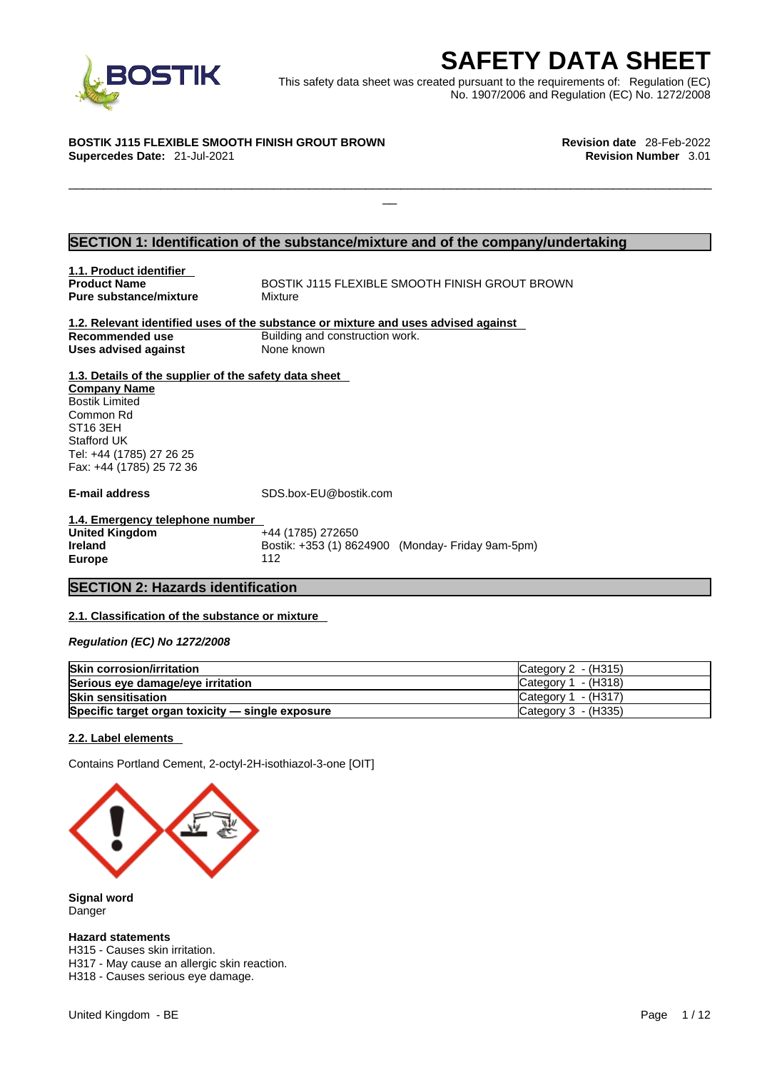

**SAFETY DATA SHEET**<br>
et was created pursuant to the requirements of: Regulation (EC)<br>
No. 1907/2006 and Regulation (EC) No. 1272/2008<br>
Revision date 28-Feb-2022<br>
Revision Number 3.01 This safety data sheet was created pursuant to the requirements of: Regulation (EC) No. 1907/2006 and Regulation (EC) No. 1272/2008

 $\Box$ 

#### **BOSTIK J115 FLEXIBLE SMOOTH FINISH GROUT BROWN Revision date** 28-Feb-2022

**Supercedes Date:** 21-Jul-2021 **Revision Number** 3.01

#### **SECTION 1: Identification of the substance/mixture and of the company/undertaking**

**1.1. Product identifier Pure substance/mixture Mixture** 

**BOSTIK J115 FLEXIBLE SMOOTH FINISH GROUT BROWN** 

#### **1.2. Relevant identified uses of the substance or mixture and uses advised against Recommended use** Building and construction work. **Uses advised against** None known

**1.3. Details of the supplier of the safety data sheet Company Name** Bostik Limited Common Rd ST16 3EH Stafford UK Tel: +44 (1785) 27 26 25 Fax: +44 (1785) 25 72 36

**E-mail address** SDS.box-EU@bostik.com

**1.4. Emergency telephone number United Kingdom Ireland Bostik: +353 (1) 8624900 (Monday- Friday 9am-5pm) Europe** 112

#### **SECTION 2: Hazards identification**

#### **2.1. Classification of the substance or mixture**

*Regulation (EC) No 1272/2008* 

| <b>Skin corrosion/irritation</b>                 | ICategory 2 - (H315)  |
|--------------------------------------------------|-----------------------|
| Serious eye damage/eye irritation                | Category 1 - (H318)   |
| <b>Skin sensitisation</b>                        | Category $1 - (H317)$ |
| Specific target organ toxicity - single exposure | Category 3 - (H335)   |

#### **2.2. Label elements**

Contains Portland Cement, 2-octyl-2H-isothiazol-3-one [OIT]



**Signal word** Danger

#### **Hazard statements**

H315 - Causes skin irritation. H317 - May cause an allergic skin reaction. H318 - Causes serious eye damage.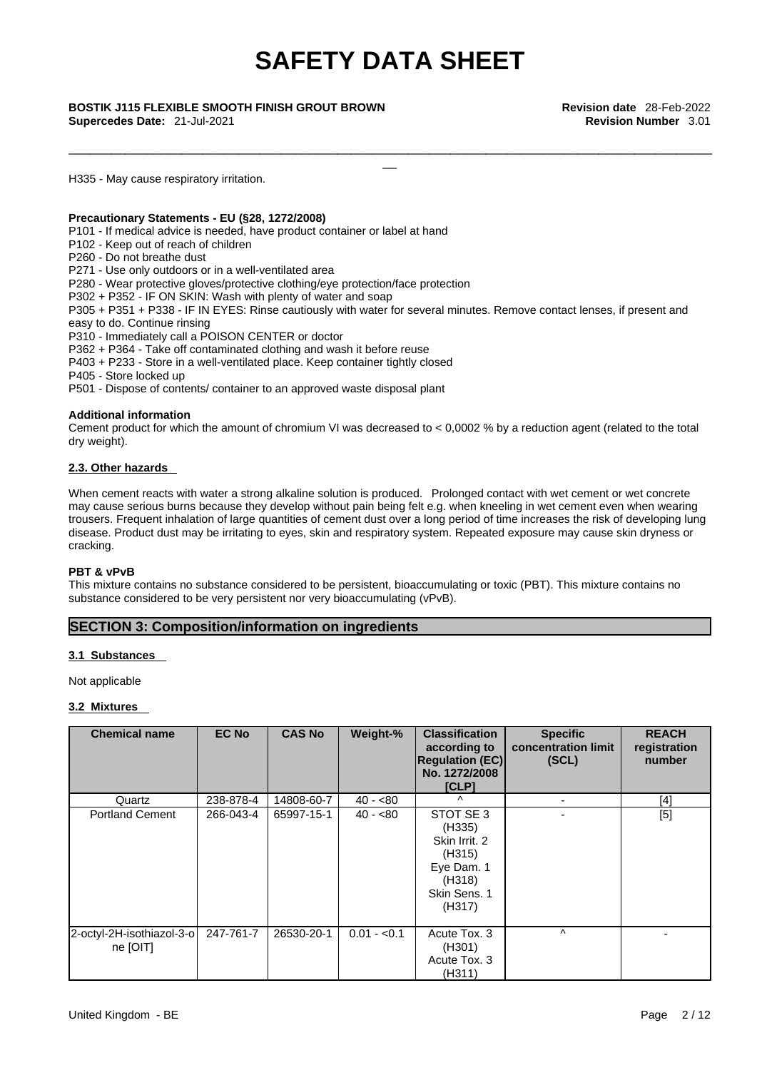\_\_\_\_\_\_\_\_\_\_\_\_\_\_\_\_\_\_\_\_\_\_\_\_\_\_\_\_\_\_\_\_\_\_\_\_\_\_\_\_\_\_\_\_\_\_\_\_\_\_\_\_\_\_\_\_\_\_\_\_\_\_\_\_\_\_\_\_\_\_\_\_\_\_\_\_\_\_\_\_\_\_\_\_\_\_\_\_\_\_\_

**Supercedes Date:** 21-Jul-2021 **Revision Number** 3.01

\_\_ **BOSTIK J115 FLEXIBLE SMOOTH FINISH GROUT BROWN Revision date** 28-Feb-2022

H335 - May cause respiratory irritation.

#### **Precautionary Statements - EU (§28, 1272/2008)**

P101 - If medical advice is needed, have product container or label at hand

P102 - Keep out of reach of children

P260 - Do not breathe dust

P271 - Use only outdoors or in a well-ventilated area

P280 - Wear protective gloves/protective clothing/eye protection/face protection

P302 + P352 - IF ON SKIN: Wash with plenty of water and soap

P305 + P351 + P338 - IF IN EYES: Rinse cautiously with water for several minutes. Remove contact lenses, if present and easy to do. Continue rinsing

P310 - Immediately call a POISON CENTER or doctor

P362 + P364 - Take off contaminated clothing and wash it before reuse

P403 + P233 - Store in a well-ventilated place. Keep container tightly closed

P405 - Store locked up

P501 - Dispose of contents/ container to an approved waste disposal plant

#### **Additional information**

Cement product for which the amount of chromium VI was decreased to  $< 0.0002$  % by a reduction agent (related to the total dry weight).

#### **2.3. Other hazards**

When cement reacts with water a strong alkaline solution is produced. Prolonged contact with wet cement or wet concrete may cause serious burns because they develop without pain being felt e.g. when kneeling in wet cement even when wearing trousers. Frequent inhalation of large quantities of cement dust over a long period of time increases the risk of developing lung disease. Product dust may be irritating to eyes, skin and respiratory system. Repeated exposure may cause skin dryness or cracking.

#### **PBT & vPvB**

This mixture contains no substance considered to be persistent, bioaccumulating or toxic (PBT). This mixture contains no substance considered to be very persistent nor very bioaccumulating (vPvB).

#### **SECTION 3: Composition/information on ingredients**

#### **3.1 Substances**

Not applicable

#### **3.2 Mixtures**

| <b>Chemical name</b>                  | <b>EC No</b> | <b>CAS No</b> | Weight-%     | <b>Classification</b><br>according to<br><b>Regulation (EC)</b><br>No. 1272/2008<br>[CLP]        | <b>Specific</b><br>concentration limit<br>(SCL) | <b>REACH</b><br>registration<br>number |
|---------------------------------------|--------------|---------------|--------------|--------------------------------------------------------------------------------------------------|-------------------------------------------------|----------------------------------------|
| Quartz                                | 238-878-4    | 14808-60-7    | $40 - 80$    | $\lambda$                                                                                        |                                                 | $[4]$                                  |
| <b>Portland Cement</b>                | 266-043-4    | 65997-15-1    | $40 - 80$    | STOT SE 3<br>(H335)<br>Skin Irrit. 2<br>(H315)<br>Eye Dam. 1<br>(H318)<br>Skin Sens. 1<br>(H317) |                                                 | [5]                                    |
| 2-octyl-2H-isothiazol-3-o<br>ne [OIT] | 247-761-7    | 26530-20-1    | $0.01 - 0.1$ | Acute Tox. 3<br>(H301)<br>Acute Tox. 3<br>(H311)                                                 | ٨                                               |                                        |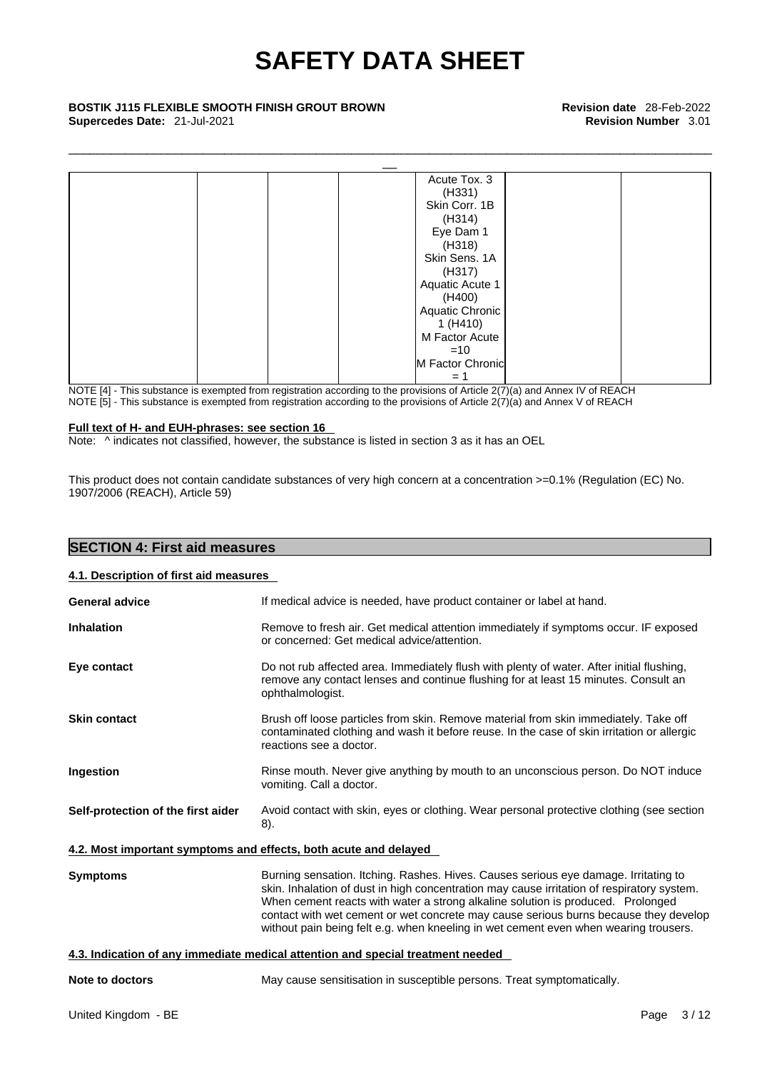\_\_\_\_\_\_\_\_\_\_\_\_\_\_\_\_\_\_\_\_\_\_\_\_\_\_\_\_\_\_\_\_\_\_\_\_\_\_\_\_\_\_\_\_\_\_\_\_\_\_\_\_\_\_\_\_\_\_\_\_\_\_\_\_\_\_\_\_\_\_\_\_\_\_\_\_\_\_\_\_\_\_\_\_\_\_\_\_\_\_\_

## **Supercedes Date:** 21-Jul-2021 **Revision Number** 3.01



NOTE [4] - This substance is exempted from registration according to the provisions of Article 2(7)(a) and Annex IV of REACH NOTE [5] - This substance is exempted from registration according to the provisions of Article 2(7)(a) and Annex V of REACH

#### **Full text of H- and EUH-phrases: see section 16**

Note: ^ indicates not classified, however, the substance is listed in section 3 as it has an OEL

This product does not contain candidate substances of very high concern at a concentration >=0.1% (Regulation (EC) No. 1907/2006 (REACH), Article 59)

| <b>SECTION 4: First aid measures</b>   |                                                                                                                                                                                                                                                                                                                                                                                                                                                      |
|----------------------------------------|------------------------------------------------------------------------------------------------------------------------------------------------------------------------------------------------------------------------------------------------------------------------------------------------------------------------------------------------------------------------------------------------------------------------------------------------------|
| 4.1. Description of first aid measures |                                                                                                                                                                                                                                                                                                                                                                                                                                                      |
| <b>General advice</b>                  | If medical advice is needed, have product container or label at hand.                                                                                                                                                                                                                                                                                                                                                                                |
| <b>Inhalation</b>                      | Remove to fresh air. Get medical attention immediately if symptoms occur. IF exposed<br>or concerned: Get medical advice/attention.                                                                                                                                                                                                                                                                                                                  |
| Eye contact                            | Do not rub affected area. Immediately flush with plenty of water. After initial flushing,<br>remove any contact lenses and continue flushing for at least 15 minutes. Consult an<br>ophthalmologist.                                                                                                                                                                                                                                                 |
| <b>Skin contact</b>                    | Brush off loose particles from skin. Remove material from skin immediately. Take off<br>contaminated clothing and wash it before reuse. In the case of skin irritation or allergic<br>reactions see a doctor.                                                                                                                                                                                                                                        |
| Ingestion                              | Rinse mouth. Never give anything by mouth to an unconscious person. Do NOT induce<br>vomiting. Call a doctor.                                                                                                                                                                                                                                                                                                                                        |
| Self-protection of the first aider     | Avoid contact with skin, eyes or clothing. Wear personal protective clothing (see section<br>8).                                                                                                                                                                                                                                                                                                                                                     |
|                                        | 4.2. Most important symptoms and effects, both acute and delayed                                                                                                                                                                                                                                                                                                                                                                                     |
| <b>Symptoms</b>                        | Burning sensation. Itching. Rashes. Hives. Causes serious eye damage. Irritating to<br>skin. Inhalation of dust in high concentration may cause irritation of respiratory system.<br>When cement reacts with water a strong alkaline solution is produced. Prolonged<br>contact with wet cement or wet concrete may cause serious burns because they develop<br>without pain being felt e.g. when kneeling in wet cement even when wearing trousers. |
|                                        | 4.3. Indication of any immediate medical attention and special treatment needed                                                                                                                                                                                                                                                                                                                                                                      |
| <b>Note to doctors</b>                 | May cause sensitisation in susceptible persons. Treat symptomatically.                                                                                                                                                                                                                                                                                                                                                                               |
| United Kingdom - BE                    | Page 3/12                                                                                                                                                                                                                                                                                                                                                                                                                                            |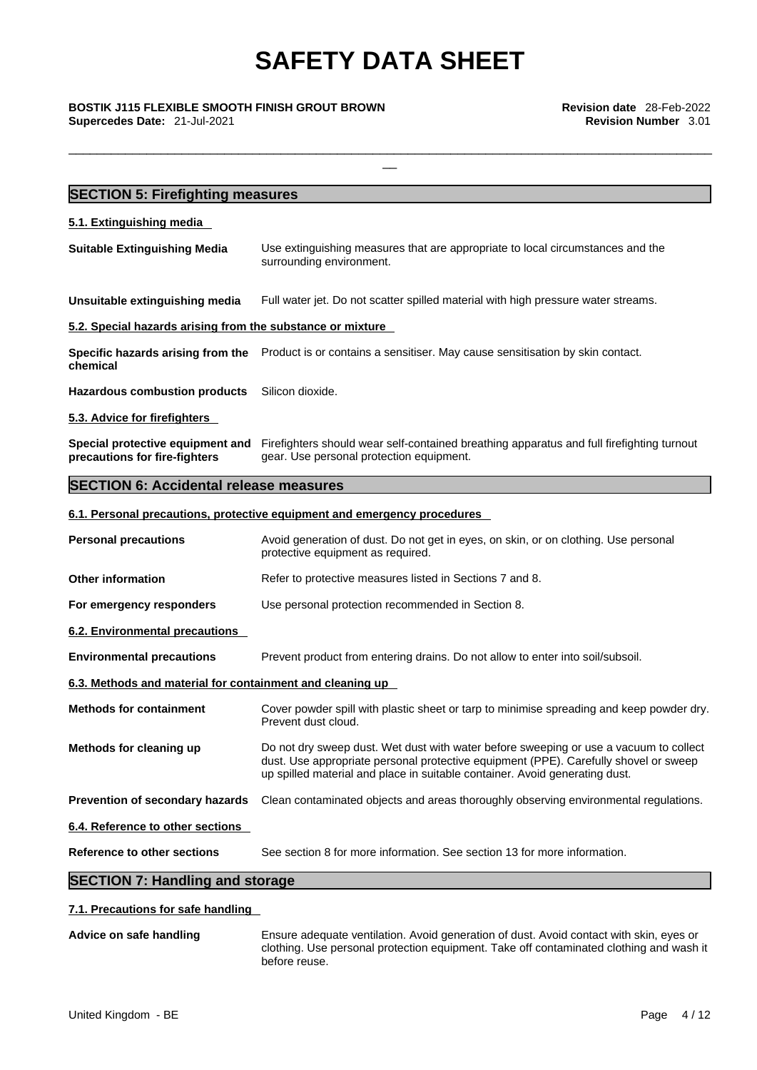\_\_\_\_\_\_\_\_\_\_\_\_\_\_\_\_\_\_\_\_\_\_\_\_\_\_\_\_\_\_\_\_\_\_\_\_\_\_\_\_\_\_\_\_\_\_\_\_\_\_\_\_\_\_\_\_\_\_\_\_\_\_\_\_\_\_\_\_\_\_\_\_\_\_\_\_\_\_\_\_\_\_\_\_\_\_\_\_\_\_\_

\_\_ **BOSTIK J115 FLEXIBLE SMOOTH FINISH GROUT BROWN Revision date** 28-Feb-2022 **Supercedes Date:** 21-Jul-2021 **Revision Number** 3.01

| <b>SECTION 5: Firefighting measures</b>                                       |                                                                                                                                                                                                                                                              |  |  |  |  |
|-------------------------------------------------------------------------------|--------------------------------------------------------------------------------------------------------------------------------------------------------------------------------------------------------------------------------------------------------------|--|--|--|--|
| 5.1. Extinguishing media                                                      |                                                                                                                                                                                                                                                              |  |  |  |  |
| <b>Suitable Extinguishing Media</b>                                           | Use extinguishing measures that are appropriate to local circumstances and the<br>surrounding environment.                                                                                                                                                   |  |  |  |  |
| Unsuitable extinguishing media                                                | Full water jet. Do not scatter spilled material with high pressure water streams.                                                                                                                                                                            |  |  |  |  |
| 5.2. Special hazards arising from the substance or mixture                    |                                                                                                                                                                                                                                                              |  |  |  |  |
| Specific hazards arising from the<br>chemical                                 | Product is or contains a sensitiser. May cause sensitisation by skin contact.                                                                                                                                                                                |  |  |  |  |
| <b>Hazardous combustion products</b>                                          | Silicon dioxide.                                                                                                                                                                                                                                             |  |  |  |  |
| 5.3. Advice for firefighters                                                  |                                                                                                                                                                                                                                                              |  |  |  |  |
| Special protective equipment and<br>precautions for fire-fighters             | Firefighters should wear self-contained breathing apparatus and full firefighting turnout<br>gear. Use personal protection equipment.                                                                                                                        |  |  |  |  |
| <b>SECTION 6: Accidental release measures</b>                                 |                                                                                                                                                                                                                                                              |  |  |  |  |
|                                                                               | 6.1. Personal precautions, protective equipment and emergency procedures                                                                                                                                                                                     |  |  |  |  |
| <b>Personal precautions</b>                                                   | Avoid generation of dust. Do not get in eyes, on skin, or on clothing. Use personal<br>protective equipment as required.                                                                                                                                     |  |  |  |  |
| <b>Other information</b>                                                      | Refer to protective measures listed in Sections 7 and 8.                                                                                                                                                                                                     |  |  |  |  |
| For emergency responders<br>Use personal protection recommended in Section 8. |                                                                                                                                                                                                                                                              |  |  |  |  |
| 6.2. Environmental precautions                                                |                                                                                                                                                                                                                                                              |  |  |  |  |
| <b>Environmental precautions</b>                                              | Prevent product from entering drains. Do not allow to enter into soil/subsoil.                                                                                                                                                                               |  |  |  |  |
| 6.3. Methods and material for containment and cleaning up                     |                                                                                                                                                                                                                                                              |  |  |  |  |
| <b>Methods for containment</b>                                                | Cover powder spill with plastic sheet or tarp to minimise spreading and keep powder dry.<br>Prevent dust cloud.                                                                                                                                              |  |  |  |  |
| Methods for cleaning up                                                       | Do not dry sweep dust. Wet dust with water before sweeping or use a vacuum to collect<br>dust. Use appropriate personal protective equipment (PPE). Carefully shovel or sweep<br>up spilled material and place in suitable container. Avoid generating dust. |  |  |  |  |
| Prevention of secondary hazards                                               | Clean contaminated objects and areas thoroughly observing environmental regulations.                                                                                                                                                                         |  |  |  |  |
| 6.4. Reference to other sections                                              |                                                                                                                                                                                                                                                              |  |  |  |  |
| <b>Reference to other sections</b>                                            | See section 8 for more information. See section 13 for more information.                                                                                                                                                                                     |  |  |  |  |
| <b>SECTION 7: Handling and storage</b>                                        |                                                                                                                                                                                                                                                              |  |  |  |  |

## **7.1. Precautions for safe handling**

**Advice on safe handling** Ensure adequate ventilation. Avoid generation of dust. Avoid contact with skin, eyes or clothing. Use personal protection equipment. Take off contaminated clothing and wash it before reuse.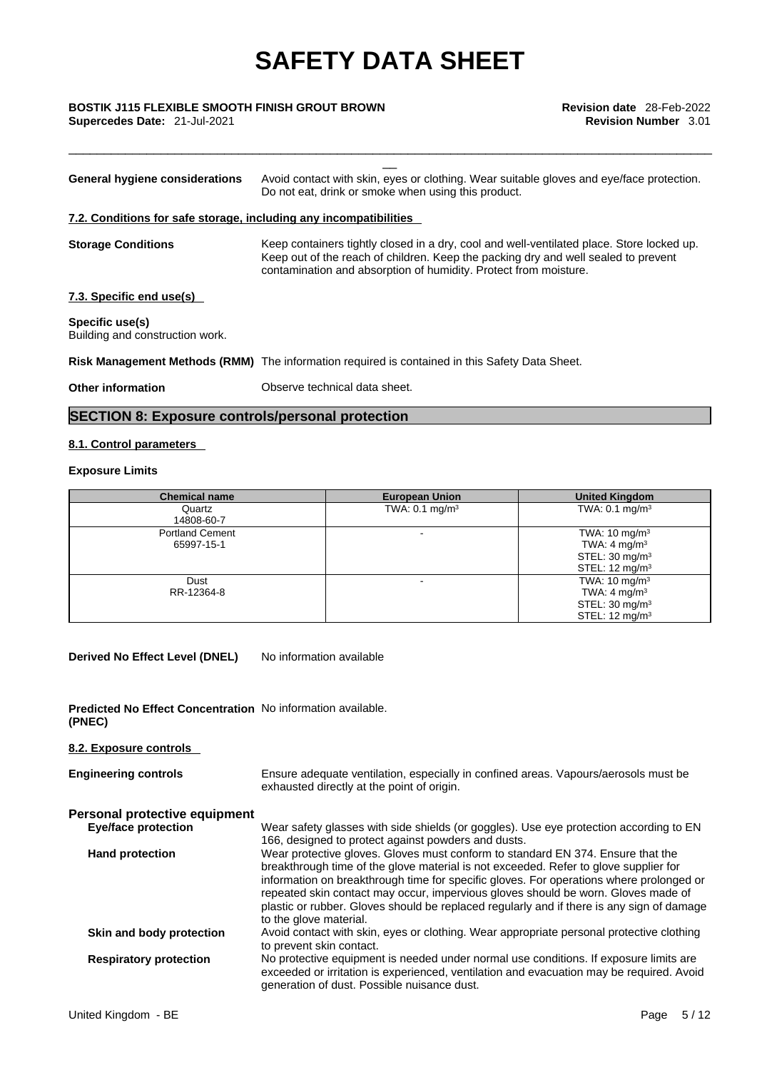\_\_\_\_\_\_\_\_\_\_\_\_\_\_\_\_\_\_\_\_\_\_\_\_\_\_\_\_\_\_\_\_\_\_\_\_\_\_\_\_\_\_\_\_\_\_\_\_\_\_\_\_\_\_\_\_\_\_\_\_\_\_\_\_\_\_\_\_\_\_\_\_\_\_\_\_\_\_\_\_\_\_\_\_\_\_\_\_\_\_\_

# \_\_ **BOSTIK J115 FLEXIBLE SMOOTH FINISH GROUT BROWN Revision date** 28-Feb-2022

**Supercedes Date:** 21-Jul-2021 **Revision Number** 3.01

| <b>General hygiene considerations</b>                             | Avoid contact with skin, eyes or clothing. Wear suitable gloves and eye/face protection.<br>Do not eat, drink or smoke when using this product.                                                                                                     |
|-------------------------------------------------------------------|-----------------------------------------------------------------------------------------------------------------------------------------------------------------------------------------------------------------------------------------------------|
| 7.2. Conditions for safe storage, including any incompatibilities |                                                                                                                                                                                                                                                     |
| <b>Storage Conditions</b>                                         | Keep containers tightly closed in a dry, cool and well-ventilated place. Store locked up.<br>Keep out of the reach of children. Keep the packing dry and well sealed to prevent<br>contamination and absorption of humidity. Protect from moisture. |
| 7.3. Specific end use(s)                                          |                                                                                                                                                                                                                                                     |
| Specific use(s)<br>Building and construction work.                |                                                                                                                                                                                                                                                     |
|                                                                   | Risk Management Methods (RMM) The information required is contained in this Safety Data Sheet.                                                                                                                                                      |
| <b>Other information</b>                                          | Observe technical data sheet.                                                                                                                                                                                                                       |
|                                                                   |                                                                                                                                                                                                                                                     |

## **SECTION 8: Exposure controls/personal protection**

### **8.1. Control parameters**

#### **Exposure Limits**

| <b>Chemical name</b>                 | <b>European Union</b>     | <b>United Kingdom</b>                                                                                          |
|--------------------------------------|---------------------------|----------------------------------------------------------------------------------------------------------------|
| Quartz<br>14808-60-7                 | TWA: $0.1 \text{ mg/m}^3$ | TWA: $0.1 \text{ mg/m}^3$                                                                                      |
| <b>Portland Cement</b><br>65997-15-1 |                           | TWA: $10 \text{ mg/m}^3$<br>TWA: 4 mg/m <sup>3</sup><br>STEL: $30 \text{ mg/m}^3$<br>STEL: $12 \text{ mg/m}^3$ |
| Dust<br>RR-12364-8                   | -                         | TWA: $10 \text{ mg/m}^3$<br>TWA: $4 \text{ mg/m}^3$<br>STEL: $30 \text{ mg/m}^3$<br>STEL: $12 \text{ ma/m}^3$  |

**Derived No Effect Level (DNEL)** No information available

| <b>Predicted No Effect Concentration</b> No information available. |  |
|--------------------------------------------------------------------|--|
| (PNEC)                                                             |  |

| 8.2. Exposure controls        |                                                                                                                                                                                                                                                                                                                                                                                                                                                                                |
|-------------------------------|--------------------------------------------------------------------------------------------------------------------------------------------------------------------------------------------------------------------------------------------------------------------------------------------------------------------------------------------------------------------------------------------------------------------------------------------------------------------------------|
| <b>Engineering controls</b>   | Ensure adequate ventilation, especially in confined areas. Vapours/aerosols must be<br>exhausted directly at the point of origin.                                                                                                                                                                                                                                                                                                                                              |
| Personal protective equipment |                                                                                                                                                                                                                                                                                                                                                                                                                                                                                |
| <b>Eye/face protection</b>    | Wear safety glasses with side shields (or goggles). Use eye protection according to EN<br>166, designed to protect against powders and dusts.                                                                                                                                                                                                                                                                                                                                  |
| <b>Hand protection</b>        | Wear protective gloves. Gloves must conform to standard EN 374. Ensure that the<br>breakthrough time of the glove material is not exceeded. Refer to glove supplier for<br>information on breakthrough time for specific gloves. For operations where prolonged or<br>repeated skin contact may occur, impervious gloves should be worn. Gloves made of<br>plastic or rubber. Gloves should be replaced regularly and if there is any sign of damage<br>to the glove material. |
| Skin and body protection      | Avoid contact with skin, eyes or clothing. Wear appropriate personal protective clothing<br>to prevent skin contact.                                                                                                                                                                                                                                                                                                                                                           |
| <b>Respiratory protection</b> | No protective equipment is needed under normal use conditions. If exposure limits are<br>exceeded or irritation is experienced, ventilation and evacuation may be required. Avoid<br>generation of dust. Possible nuisance dust.                                                                                                                                                                                                                                               |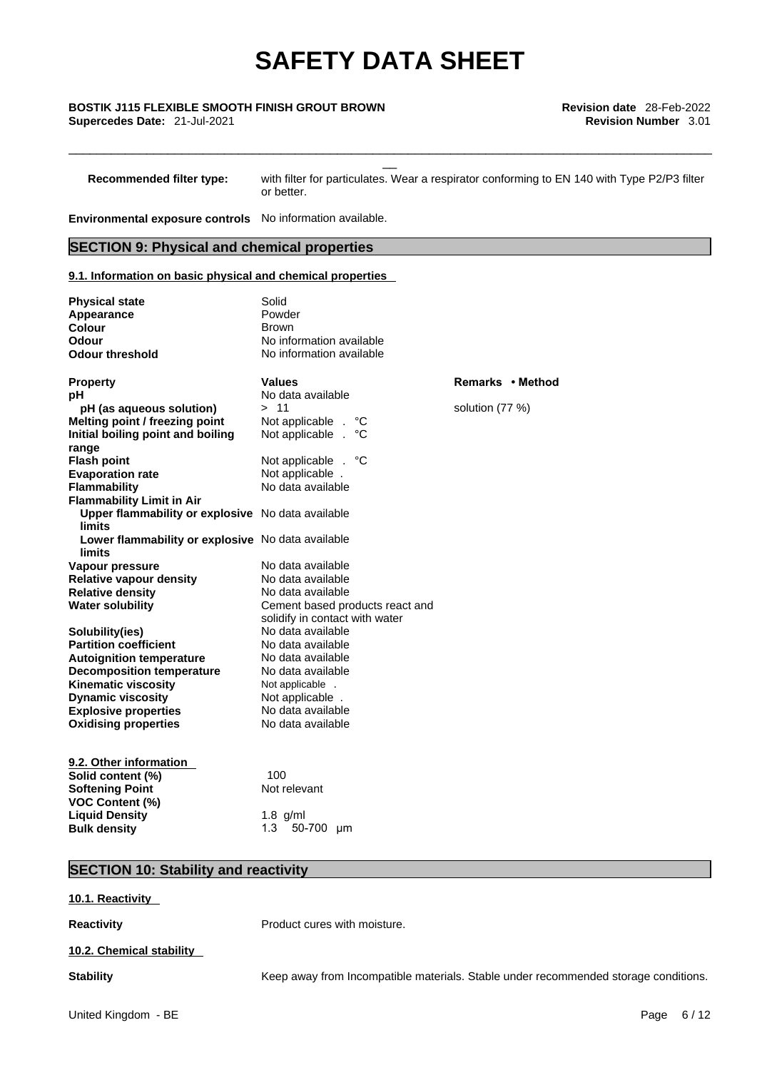# \_\_ **BOSTIK J115 FLEXIBLE SMOOTH FINISH GROUT BROWN Revision date** 28-Feb-2022

**Recommended filter type:** with filter for particulates. Wear a respirator conforming to EN 140 with Type P2/P3 filter or better.

\_\_\_\_\_\_\_\_\_\_\_\_\_\_\_\_\_\_\_\_\_\_\_\_\_\_\_\_\_\_\_\_\_\_\_\_\_\_\_\_\_\_\_\_\_\_\_\_\_\_\_\_\_\_\_\_\_\_\_\_\_\_\_\_\_\_\_\_\_\_\_\_\_\_\_\_\_\_\_\_\_\_\_\_\_\_\_\_\_\_\_

**Environmental exposure controls** No information available.

### **SECTION 9: Physical and chemical properties**

#### **9.1. Information on basic physical and chemical properties**

| <b>Physical state</b><br>Appearance<br>Colour<br>Odour<br><b>Odour threshold</b> | Solid<br>Powder<br><b>Brown</b><br>No information available<br>No information available |                  |
|----------------------------------------------------------------------------------|-----------------------------------------------------------------------------------------|------------------|
| <b>Property</b>                                                                  | <b>Values</b>                                                                           | Remarks • Method |
| рH                                                                               | No data available                                                                       |                  |
| pH (as aqueous solution)                                                         | > 11                                                                                    | solution (77 %)  |
| Melting point / freezing point                                                   | Not applicable .<br>°C                                                                  |                  |
| Initial boiling point and boiling                                                | Not applicable<br>°C<br>$\mathbf{r}$                                                    |                  |
| range                                                                            |                                                                                         |                  |
| <b>Flash point</b>                                                               | ீ<br>Not applicable .                                                                   |                  |
| <b>Evaporation rate</b>                                                          | Not applicable.                                                                         |                  |
| <b>Flammability</b>                                                              | No data available                                                                       |                  |
| <b>Flammability Limit in Air</b>                                                 |                                                                                         |                  |
| Upper flammability or explosive No data available<br>limits                      |                                                                                         |                  |
| Lower flammability or explosive No data available<br>limits                      |                                                                                         |                  |
| Vapour pressure                                                                  | No data available                                                                       |                  |
| <b>Relative vapour density</b>                                                   | No data available                                                                       |                  |
| <b>Relative density</b>                                                          | No data available                                                                       |                  |
| <b>Water solubility</b>                                                          | Cement based products react and                                                         |                  |
|                                                                                  | solidify in contact with water                                                          |                  |
| Solubility(ies)                                                                  | No data available                                                                       |                  |
| <b>Partition coefficient</b>                                                     | No data available                                                                       |                  |
| <b>Autoignition temperature</b>                                                  | No data available                                                                       |                  |
| <b>Decomposition temperature</b>                                                 | No data available                                                                       |                  |
| <b>Kinematic viscosity</b>                                                       | Not applicable .                                                                        |                  |
| <b>Dynamic viscosity</b>                                                         | Not applicable.                                                                         |                  |
| <b>Explosive properties</b>                                                      | No data available                                                                       |                  |
| <b>Oxidising properties</b>                                                      | No data available                                                                       |                  |
| 9.2. Other information                                                           |                                                                                         |                  |
| Solid content (%)                                                                | 100                                                                                     |                  |
| <b>Softening Point</b>                                                           | Not relevant                                                                            |                  |
| <b>VOC Content (%)</b>                                                           |                                                                                         |                  |
| <b>Liquid Density</b>                                                            | 1.8 $g/ml$                                                                              |                  |
| <b>Bulk density</b>                                                              | 1.3<br>50-700 µm                                                                        |                  |

### **SECTION 10: Stability and reactivity**

#### **10.1. Reactivity**

**Reactivity Product cures with moisture.** 

#### **10.2. Chemical stability**

**Stability** Keep away from Incompatible materials. Stable under recommended storage conditions.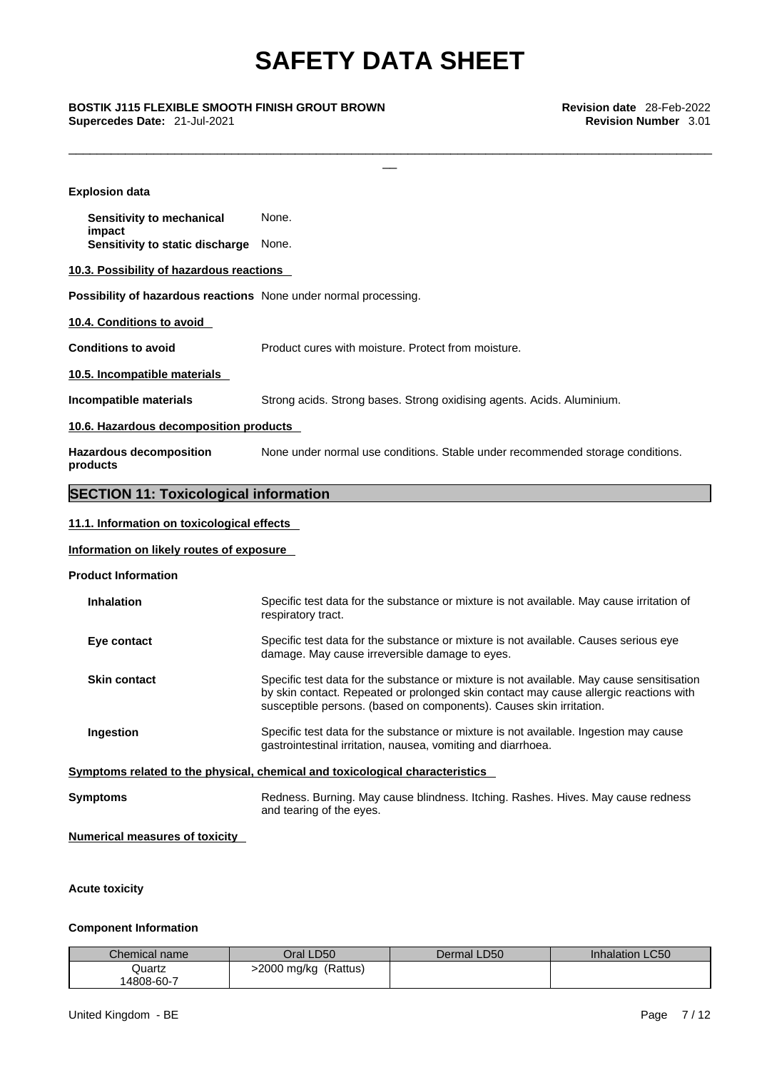\_\_\_\_\_\_\_\_\_\_\_\_\_\_\_\_\_\_\_\_\_\_\_\_\_\_\_\_\_\_\_\_\_\_\_\_\_\_\_\_\_\_\_\_\_\_\_\_\_\_\_\_\_\_\_\_\_\_\_\_\_\_\_\_\_\_\_\_\_\_\_\_\_\_\_\_\_\_\_\_\_\_\_\_\_\_\_\_\_\_\_

\_\_ **BOSTIK J115 FLEXIBLE SMOOTH FINISH GROUT BROWN Revision date** 28-Feb-2022 **Supercedes Date:** 21-Jul-2021 **Revision Number** 3.01

| <b>Explosion data</b>                                            |                                                                                                                                                                                                                                                           |
|------------------------------------------------------------------|-----------------------------------------------------------------------------------------------------------------------------------------------------------------------------------------------------------------------------------------------------------|
| Sensitivity to mechanical                                        | None.                                                                                                                                                                                                                                                     |
| impact<br>Sensitivity to static discharge                        | None.                                                                                                                                                                                                                                                     |
| 10.3. Possibility of hazardous reactions                         |                                                                                                                                                                                                                                                           |
| Possibility of hazardous reactions None under normal processing. |                                                                                                                                                                                                                                                           |
| 10.4. Conditions to avoid                                        |                                                                                                                                                                                                                                                           |
| <b>Conditions to avoid</b>                                       | Product cures with moisture. Protect from moisture.                                                                                                                                                                                                       |
| 10.5. Incompatible materials                                     |                                                                                                                                                                                                                                                           |
| Incompatible materials                                           | Strong acids. Strong bases. Strong oxidising agents. Acids. Aluminium.                                                                                                                                                                                    |
| 10.6. Hazardous decomposition products                           |                                                                                                                                                                                                                                                           |
| <b>Hazardous decomposition</b><br>products                       | None under normal use conditions. Stable under recommended storage conditions.                                                                                                                                                                            |
| <b>SECTION 11: Toxicological information</b>                     |                                                                                                                                                                                                                                                           |
| 11.1. Information on toxicological effects                       |                                                                                                                                                                                                                                                           |
| Information on likely routes of exposure                         |                                                                                                                                                                                                                                                           |
| <b>Product Information</b>                                       |                                                                                                                                                                                                                                                           |
| <b>Inhalation</b>                                                | Specific test data for the substance or mixture is not available. May cause irritation of<br>respiratory tract.                                                                                                                                           |
| Eye contact                                                      | Specific test data for the substance or mixture is not available. Causes serious eye<br>damage. May cause irreversible damage to eyes.                                                                                                                    |
| <b>Skin contact</b>                                              | Specific test data for the substance or mixture is not available. May cause sensitisation<br>by skin contact. Repeated or prolonged skin contact may cause allergic reactions with<br>susceptible persons. (based on components). Causes skin irritation. |
| Ingestion                                                        | Specific test data for the substance or mixture is not available. Ingestion may cause<br>gastrointestinal irritation, nausea, vomiting and diarrhoea.                                                                                                     |
|                                                                  | Symptoms related to the physical, chemical and toxicological characteristics                                                                                                                                                                              |
| <b>Symptoms</b>                                                  | Redness. Burning. May cause blindness. Itching. Rashes. Hives. May cause redness<br>and tearing of the eyes.                                                                                                                                              |
| <b>Numerical measures of toxicity</b>                            |                                                                                                                                                                                                                                                           |
|                                                                  |                                                                                                                                                                                                                                                           |

### **Acute toxicity**

#### **Component Information**

| Chemical name | Oral LD50               | Dermal LD50 | <b>Inhalation LC50</b> |
|---------------|-------------------------|-------------|------------------------|
| Quartz        | (Rattus)<br>2000 mg/kg> |             |                        |
| 14808-60-7    |                         |             |                        |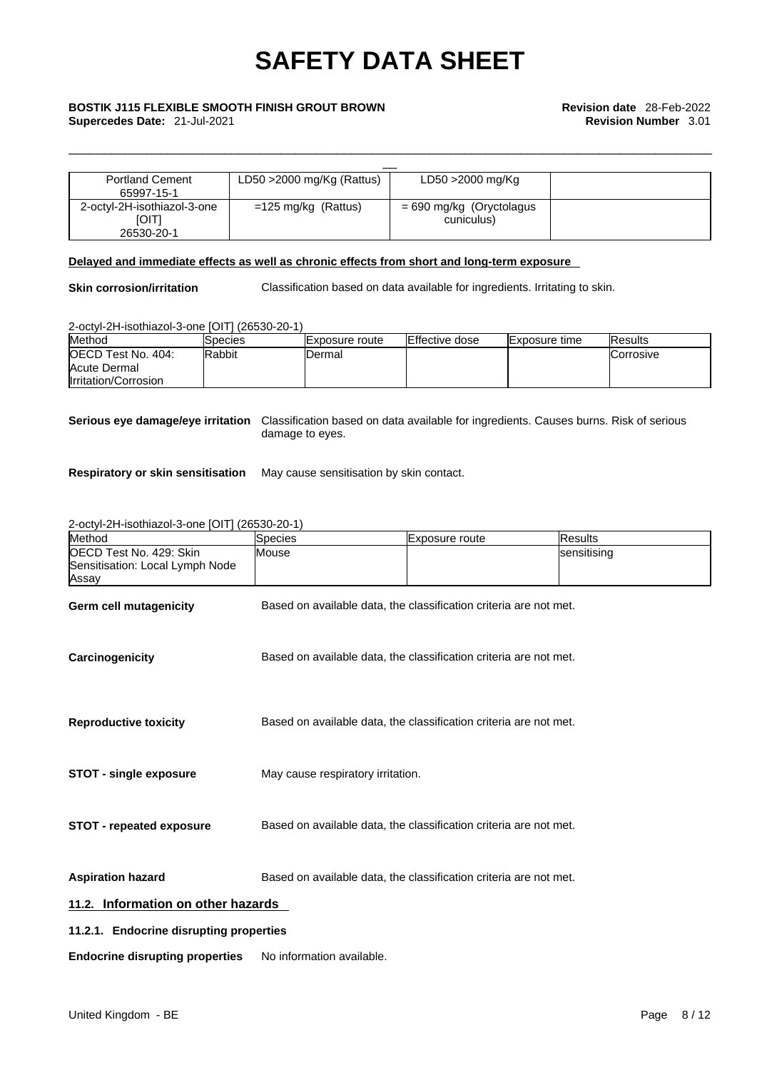| <b>Portland Cement</b>      | LD50 $>$ 2000 mg/Kg (Rattus)  | LD50 >2000 mg/Kg           |  |  |  |  |
|-----------------------------|-------------------------------|----------------------------|--|--|--|--|
| 65997-15-1                  |                               |                            |  |  |  |  |
| 2-octyl-2H-isothiazol-3-one | $=125 \text{ mg/kg}$ (Rattus) | $= 690$ mg/kg (Oryctolagus |  |  |  |  |
| <b>IOITI</b>                |                               | cuniculus)                 |  |  |  |  |
| 26530-20-1                  |                               |                            |  |  |  |  |

#### **Delayed and immediate effects as well as chronic effects from short and long-term exposure**

**Skin corrosion/irritation** Classification based on data available for ingredients. Irritating to skin.

\_\_\_\_\_\_\_\_\_\_\_\_\_\_\_\_\_\_\_\_\_\_\_\_\_\_\_\_\_\_\_\_\_\_\_\_\_\_\_\_\_\_\_\_\_\_\_\_\_\_\_\_\_\_\_\_\_\_\_\_\_\_\_\_\_\_\_\_\_\_\_\_\_\_\_\_\_\_\_\_\_\_\_\_\_\_\_\_\_\_\_

2-octyl-2H-isothiazol-3-one [OIT] (26530-20-1)

| Method                     | Species | lExposure route | Effective dose | <b>Exposure time</b> | <b>IResults</b>   |
|----------------------------|---------|-----------------|----------------|----------------------|-------------------|
| <b>IOECD Test No. 404:</b> | Rabbit  | Dermal          |                |                      | <b>ICorrosive</b> |
| Acute Dermal               |         |                 |                |                      |                   |
| Irritation/Corrosion       |         |                 |                |                      |                   |

**Serious eye damage/eye irritation** Classification based on data available for ingredients. Causes burns. Risk of serious damage to eyes.

**Respiratory or skin sensitisation** May cause sensitisation by skin contact.

2-octyl-2H-isothiazol-3-one [OIT] (26530-20-1)

| Method                                                              | Species                                                           | Exposure route                                                    | Results     |
|---------------------------------------------------------------------|-------------------------------------------------------------------|-------------------------------------------------------------------|-------------|
| OECD Test No. 429: Skin<br>Sensitisation: Local Lymph Node<br>Assay | Mouse                                                             |                                                                   | sensitising |
| <b>Germ cell mutagenicity</b>                                       |                                                                   | Based on available data, the classification criteria are not met. |             |
| Carcinogenicity                                                     | Based on available data, the classification criteria are not met. |                                                                   |             |
| <b>Reproductive toxicity</b>                                        |                                                                   | Based on available data, the classification criteria are not met. |             |
| <b>STOT - single exposure</b>                                       | May cause respiratory irritation.                                 |                                                                   |             |
| <b>STOT</b> - repeated exposure                                     |                                                                   | Based on available data, the classification criteria are not met. |             |
| <b>Aspiration hazard</b>                                            |                                                                   | Based on available data, the classification criteria are not met. |             |
| 11.2. Information on other hazards                                  |                                                                   |                                                                   |             |
| 11.2.1. Endocrine disrupting properties                             |                                                                   |                                                                   |             |
| <b>Endocrine disrupting properties</b>                              | No information available.                                         |                                                                   |             |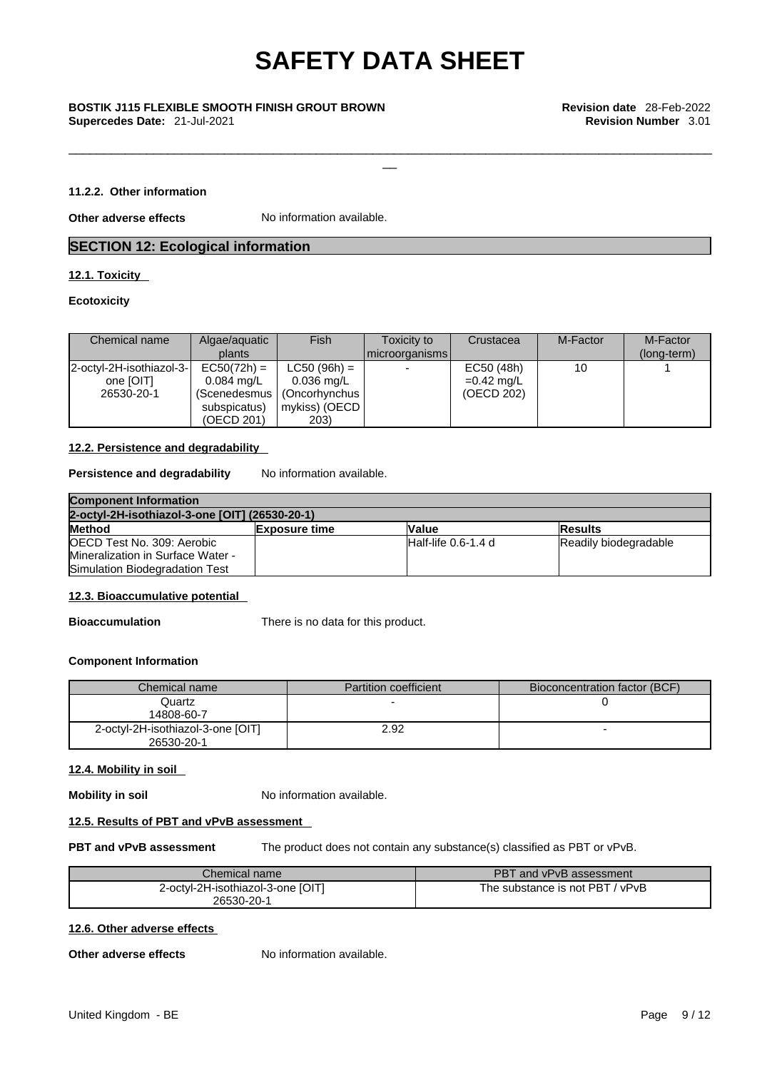\_\_\_\_\_\_\_\_\_\_\_\_\_\_\_\_\_\_\_\_\_\_\_\_\_\_\_\_\_\_\_\_\_\_\_\_\_\_\_\_\_\_\_\_\_\_\_\_\_\_\_\_\_\_\_\_\_\_\_\_\_\_\_\_\_\_\_\_\_\_\_\_\_\_\_\_\_\_\_\_\_\_\_\_\_\_\_\_\_\_\_

# \_\_ **BOSTIK J115 FLEXIBLE SMOOTH FINISH GROUT BROWN Revision date** 28-Feb-2022 **Supercedes Date:** 21-Jul-2021 **Revision Number** 3.01

#### **11.2.2. Other information**

**Other adverse effects** No information available.

#### **SECTION 12: Ecological information**

#### **12.1. Toxicity**

#### **Ecotoxicity**

| Chemical name                                       | Algae/aquatic<br>plants                                             | Fish                                                                                          | Toxicity to<br>  microorganisms | Crustacea                                | M-Factor | M-Factor<br>(long-term) |
|-----------------------------------------------------|---------------------------------------------------------------------|-----------------------------------------------------------------------------------------------|---------------------------------|------------------------------------------|----------|-------------------------|
| 2-octyl-2H-isothiazol-3-<br>one [OIT]<br>26530-20-1 | $EC50(72h) =$<br>$0.084 \text{ ma/L}$<br>subspicatus)<br>(OECD 201) | $LC50 (96h) =$<br>$0.036$ mg/L<br>(Scenedesmus   (Oncorhynchus  <br>  mykiss) (OECD  <br>203) |                                 | EC50 (48h)<br>$=0.42$ mg/L<br>(OECD 202) | 10       |                         |

#### **12.2. Persistence and degradability**

**Persistence and degradability** No information available.

| <b>Component Information</b>                   |                      |                     |                       |  |
|------------------------------------------------|----------------------|---------------------|-----------------------|--|
| 2-octyl-2H-isothiazol-3-one [OIT] (26530-20-1) |                      |                     |                       |  |
| <b>Method</b>                                  | <b>Exposure time</b> | <b>Value</b>        | <b>Results</b>        |  |
| OECD Test No. 309: Aerobic                     |                      | Half-life 0.6-1.4 d | Readily biodegradable |  |
| Mineralization in Surface Water -              |                      |                     |                       |  |
| Simulation Biodegradation Test                 |                      |                     |                       |  |

#### **12.3. Bioaccumulative potential**

**Bioaccumulation** There is no data for this product.

#### **Component Information**

| Chemical name                     | Partition coefficient | Bioconcentration factor (BCF) |
|-----------------------------------|-----------------------|-------------------------------|
| Quartz                            |                       |                               |
| 14808-60-7                        |                       |                               |
| 2-octyl-2H-isothiazol-3-one [OIT] | 2.92                  |                               |
| 26530-20-1                        |                       |                               |

#### **12.4. Mobility in soil**

**Mobility in soil** No information available.

#### **12.5. Results of PBT and vPvB assessment**

**PBT and vPvB assessment** The product does not contain any substance(s) classified as PBT or vPvB.

| Chemical name                     | PBT and vPvB assessment             |
|-----------------------------------|-------------------------------------|
| 2-octyl-2H-isothiazol-3-one [OIT] | The substance is not PBT.<br>/ vPvB |
| 26530-20-1                        |                                     |

#### **12.6. Other adverse effects**

**Other adverse effects** No information available.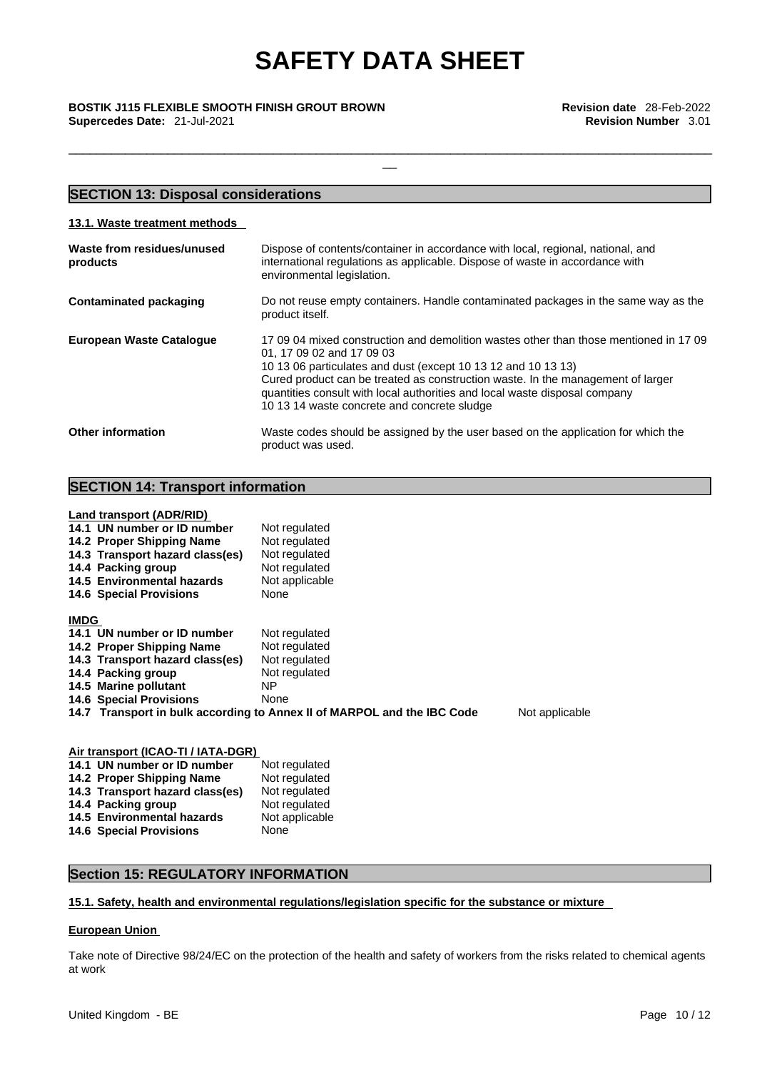\_\_\_\_\_\_\_\_\_\_\_\_\_\_\_\_\_\_\_\_\_\_\_\_\_\_\_\_\_\_\_\_\_\_\_\_\_\_\_\_\_\_\_\_\_\_\_\_\_\_\_\_\_\_\_\_\_\_\_\_\_\_\_\_\_\_\_\_\_\_\_\_\_\_\_\_\_\_\_\_\_\_\_\_\_\_\_\_\_\_\_

\_\_ **BOSTIK J115 FLEXIBLE SMOOTH FINISH GROUT BROWN Revision date** 28-Feb-2022 **Supercedes Date:** 21-Jul-2021 **Revision Number** 3.01

#### **SECTION 13: Disposal considerations 13.1. Waste treatment methods Waste from residues/unused products**  Dispose of contents/container in accordance with local, regional, national, and international regulations as applicable. Dispose of waste in accordance with environmental legislation. **Contaminated packaging** Do not reuse empty containers. Handle contaminated packages in the same way as the product itself. **European Waste Catalogue** 17 09 04 mixed construction and demolition wastes other than those mentioned in 17 09 01, 17 09 02 and 17 09 03 10 13 06 particulates and dust (except 10 13 12 and 10 13 13) Cured product can be treated as construction waste. In the management of larger quantities consult with local authorities and local waste disposal company 10 13 14 waste concrete and concrete sludge **Other information** Waste codes should be assigned by the user based on the application for which the product was used.

#### **SECTION 14: Transport information**

**Land transport (ADR/RID)**

| 14.1 UN number or ID number<br>14.2 Proper Shipping Name<br>14.3 Transport hazard class(es) | Not regulated<br>Not regulated<br>Not regulated                         |                |
|---------------------------------------------------------------------------------------------|-------------------------------------------------------------------------|----------------|
| 14.4 Packing group                                                                          | Not regulated                                                           |                |
| 14.5 Environmental hazards                                                                  | Not applicable                                                          |                |
| <b>14.6 Special Provisions</b>                                                              | None                                                                    |                |
| <b>IMDG</b><br>14.1 UN number or ID number                                                  | Not regulated                                                           |                |
| 14.2 Proper Shipping Name                                                                   | Not regulated                                                           |                |
| 14.3 Transport hazard class(es)                                                             | Not regulated                                                           |                |
| 14.4 Packing group                                                                          | Not regulated                                                           |                |
| 14.5 Marine pollutant                                                                       | NP.                                                                     |                |
| <b>14.6 Special Provisions</b>                                                              | None                                                                    |                |
|                                                                                             | 14.7 Transport in bulk according to Annex II of MARPOL and the IBC Code | Not applicable |
|                                                                                             |                                                                         |                |

| Air transport (ICAO-TI / IATA-DGR) |                |  |  |
|------------------------------------|----------------|--|--|
| 14.1 UN number or ID number        | Not regulated  |  |  |
| 14.2 Proper Shipping Name          | Not regulated  |  |  |
| 14.3 Transport hazard class(es)    | Not regulated  |  |  |
| 14.4 Packing group                 | Not regulated  |  |  |
| 14.5 Environmental hazards         | Not applicable |  |  |
| <b>14.6 Special Provisions</b>     | None           |  |  |

## **Section 15: REGULATORY INFORMATION**

#### **15.1. Safety, health and environmental regulations/legislation specific for the substance or mixture**

#### **European Union**

Take note of Directive 98/24/EC on the protection of the health and safety of workers from the risks related to chemical agents at work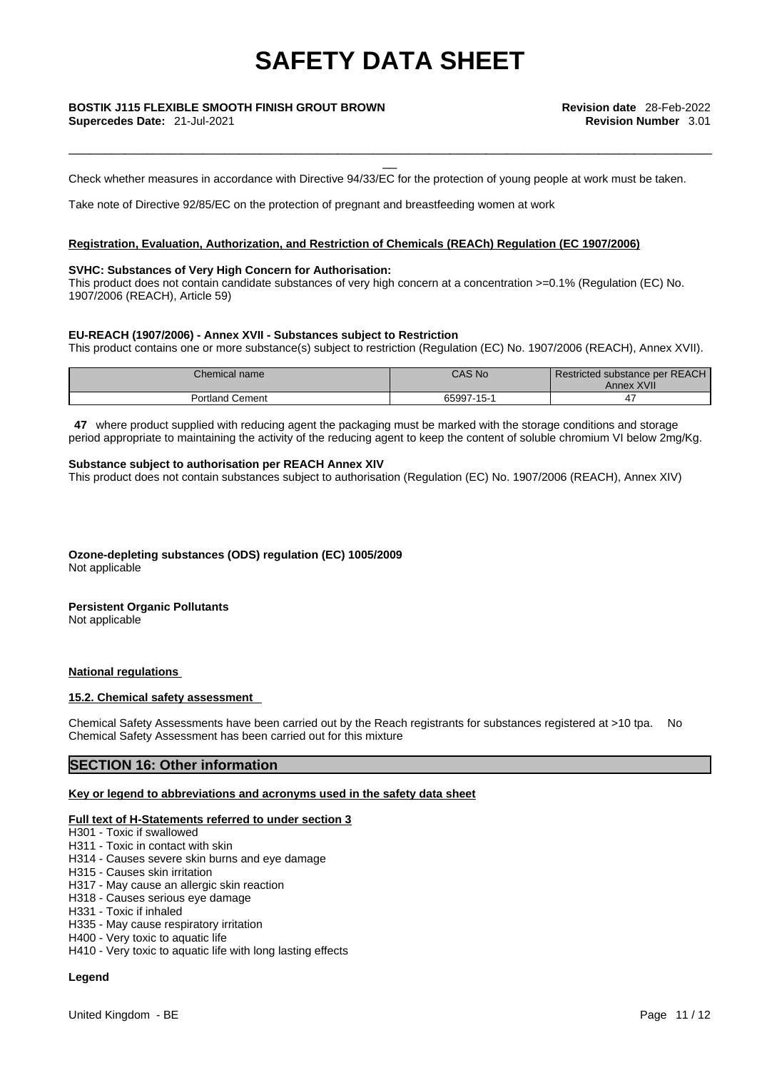# \_\_ **BOSTIK J115 FLEXIBLE SMOOTH FINISH GROUT BROWN Revision date** 28-Feb-2022

Check whether measures in accordance with Directive 94/33/EC for the protection of young people at work must be taken.

\_\_\_\_\_\_\_\_\_\_\_\_\_\_\_\_\_\_\_\_\_\_\_\_\_\_\_\_\_\_\_\_\_\_\_\_\_\_\_\_\_\_\_\_\_\_\_\_\_\_\_\_\_\_\_\_\_\_\_\_\_\_\_\_\_\_\_\_\_\_\_\_\_\_\_\_\_\_\_\_\_\_\_\_\_\_\_\_\_\_\_

Take note of Directive 92/85/EC on the protection of pregnant and breastfeeding women at work

#### **Registration, Evaluation, Authorization, and Restriction of Chemicals (REACh) Regulation (EC 1907/2006)**

#### **SVHC: Substances of Very High Concern for Authorisation:**

This product does not contain candidate substances of very high concern at a concentration >=0.1% (Regulation (EC) No. 1907/2006 (REACH), Article 59)

#### **EU-REACH (1907/2006) - Annex XVII - Substances subject to Restriction**

This product contains one or more substance(s) subject to restriction (Regulation (EC) No. 1907/2006 (REACH), Annex XVII).

| Chemical name          | CAS No     | Restricted substance per REACH<br>Annex XVII |
|------------------------|------------|----------------------------------------------|
| <b>Portland Cement</b> | 65997-15-1 |                                              |

**47** where product supplied with reducing agent the packaging must be marked with the storage conditions and storage period appropriate to maintaining the activity of the reducing agent to keep the content of soluble chromium VI below 2mg/Kg.

#### **Substance subject to authorisation per REACH Annex XIV**

This product does not contain substances subject to authorisation (Regulation (EC) No. 1907/2006 (REACH), Annex XIV)

**Ozone-depleting substances (ODS) regulation (EC) 1005/2009** Not applicable

## **Persistent Organic Pollutants**

Not applicable

#### **National regulations**

#### **15.2. Chemical safety assessment**

Chemical Safety Assessments have been carried out by the Reach registrants for substances registered at >10 tpa. No Chemical Safety Assessment has been carried out for this mixture

#### **SECTION 16: Other information**

#### **Key or legend to abbreviations and acronyms used in the safety data sheet**

#### **Full text of H-Statements referred to under section 3**

- H301 Toxic if swallowed
- H311 Toxic in contact with skin
- H314 Causes severe skin burns and eye damage
- H315 Causes skin irritation
- H317 May cause an allergic skin reaction
- H318 Causes serious eye damage
- H331 Toxic if inhaled
- H335 May cause respiratory irritation
- H400 Very toxic to aquatic life
- H410 Very toxic to aquatic life with long lasting effects

#### **Legend**